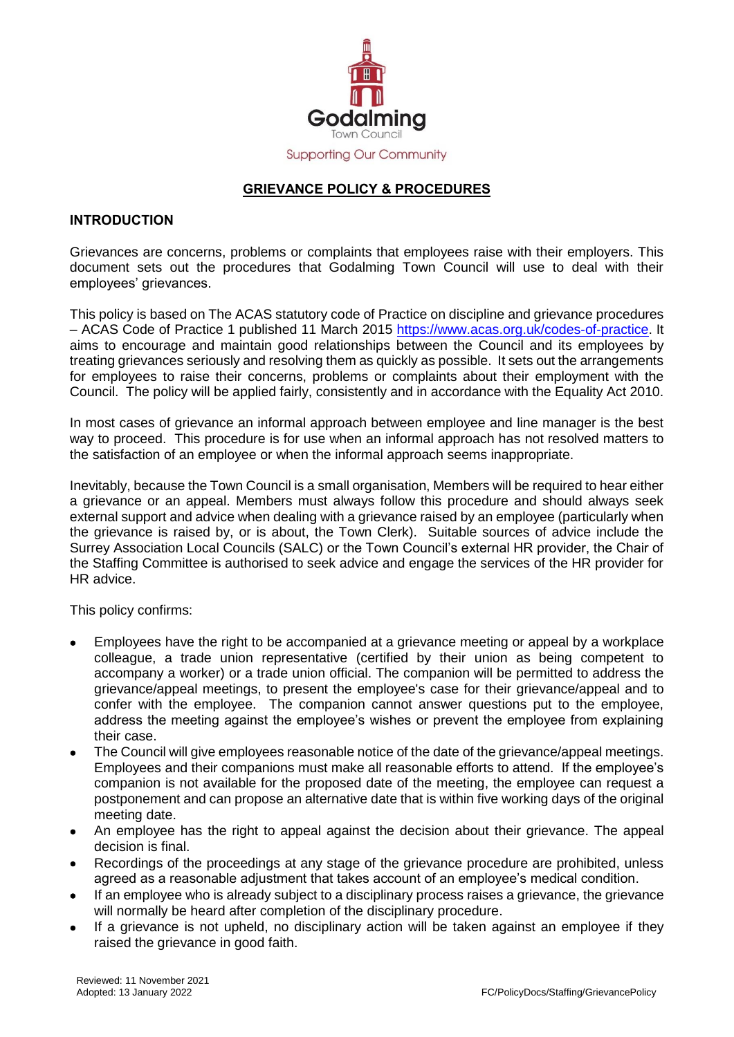

# **GRIEVANCE POLICY & PROCEDURES**

### **INTRODUCTION**

Grievances are concerns, problems or complaints that employees raise with their employers. This document sets out the procedures that Godalming Town Council will use to deal with their employees' grievances.

This policy is based on The ACAS statutory code of Practice on discipline and grievance procedures – ACAS Code of Practice 1 published 11 March 2015 [https://www.acas.org.uk/codes-of-practice.](https://www.acas.org.uk/codes-of-practice) It aims to encourage and maintain good relationships between the Council and its employees by treating grievances seriously and resolving them as quickly as possible. It sets out the arrangements for employees to raise their concerns, problems or complaints about their employment with the Council. The policy will be applied fairly, consistently and in accordance with the Equality Act 2010.

In most cases of grievance an informal approach between employee and line manager is the best way to proceed. This procedure is for use when an informal approach has not resolved matters to the satisfaction of an employee or when the informal approach seems inappropriate.

Inevitably, because the Town Council is a small organisation, Members will be required to hear either a grievance or an appeal. Members must always follow this procedure and should always seek external support and advice when dealing with a grievance raised by an employee (particularly when the grievance is raised by, or is about, the Town Clerk). Suitable sources of advice include the Surrey Association Local Councils (SALC) or the Town Council's external HR provider, the Chair of the Staffing Committee is authorised to seek advice and engage the services of the HR provider for HR advice.

This policy confirms:

- Employees have the right to be accompanied at a grievance meeting or appeal by a workplace colleague, a trade union representative (certified by their union as being competent to accompany a worker) or a trade union official. The companion will be permitted to address the grievance/appeal meetings, to present the employee's case for their grievance/appeal and to confer with the employee. The companion cannot answer questions put to the employee, address the meeting against the employee's wishes or prevent the employee from explaining their case.
- The Council will give employees reasonable notice of the date of the grievance/appeal meetings. Employees and their companions must make all reasonable efforts to attend. If the employee's companion is not available for the proposed date of the meeting, the employee can request a postponement and can propose an alternative date that is within five working days of the original meeting date.
- An employee has the right to appeal against the decision about their grievance. The appeal decision is final.
- Recordings of the proceedings at any stage of the grievance procedure are prohibited, unless agreed as a reasonable adjustment that takes account of an employee's medical condition.
- If an employee who is already subject to a disciplinary process raises a grievance, the grievance will normally be heard after completion of the disciplinary procedure.
- If a grievance is not upheld, no disciplinary action will be taken against an employee if they raised the grievance in good faith.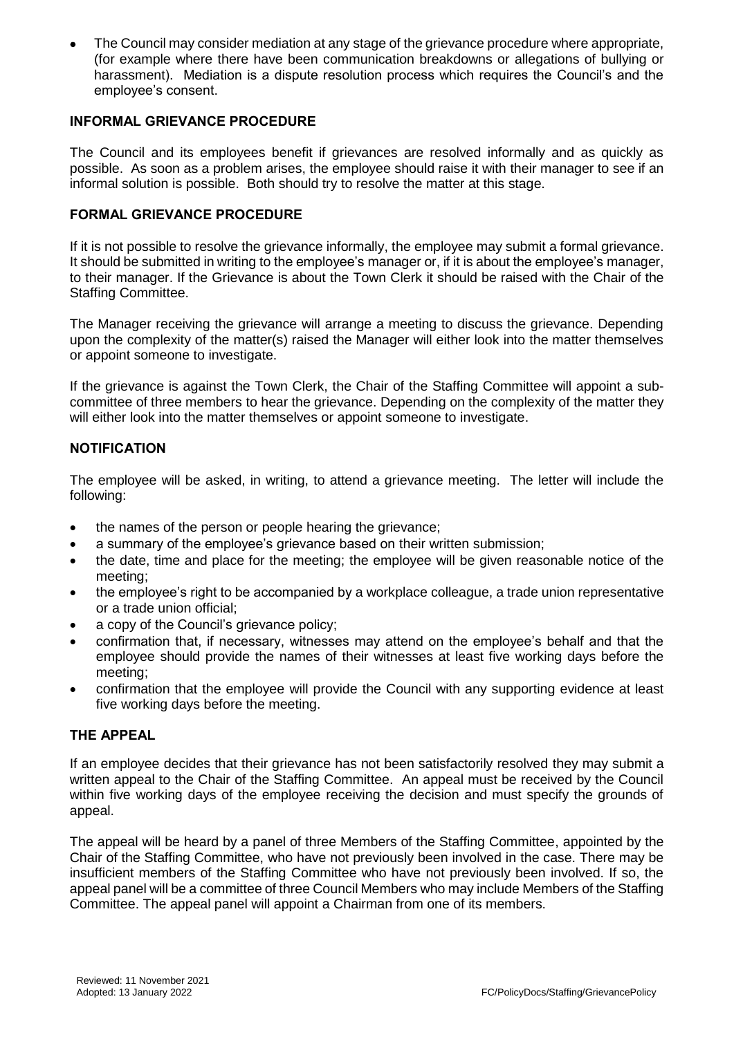The Council may consider mediation at any stage of the grievance procedure where appropriate, (for example where there have been communication breakdowns or allegations of bullying or harassment). Mediation is a dispute resolution process which requires the Council's and the employee's consent.

### **INFORMAL GRIEVANCE PROCEDURE**

The Council and its employees benefit if grievances are resolved informally and as quickly as possible. As soon as a problem arises, the employee should raise it with their manager to see if an informal solution is possible. Both should try to resolve the matter at this stage.

# **FORMAL GRIEVANCE PROCEDURE**

If it is not possible to resolve the grievance informally, the employee may submit a formal grievance. It should be submitted in writing to the employee's manager or, if it is about the employee's manager, to their manager. If the Grievance is about the Town Clerk it should be raised with the Chair of the Staffing Committee.

The Manager receiving the grievance will arrange a meeting to discuss the grievance. Depending upon the complexity of the matter(s) raised the Manager will either look into the matter themselves or appoint someone to investigate.

If the grievance is against the Town Clerk, the Chair of the Staffing Committee will appoint a subcommittee of three members to hear the grievance. Depending on the complexity of the matter they will either look into the matter themselves or appoint someone to investigate.

# **NOTIFICATION**

The employee will be asked, in writing, to attend a grievance meeting. The letter will include the following:

- the names of the person or people hearing the grievance;
- a summary of the employee's grievance based on their written submission;
- the date, time and place for the meeting; the employee will be given reasonable notice of the meeting;
- the employee's right to be accompanied by a workplace colleague, a trade union representative or a trade union official;
- a copy of the Council's grievance policy;
- confirmation that, if necessary, witnesses may attend on the employee's behalf and that the employee should provide the names of their witnesses at least five working days before the meeting;
- confirmation that the employee will provide the Council with any supporting evidence at least five working days before the meeting.

#### **THE APPEAL**

If an employee decides that their grievance has not been satisfactorily resolved they may submit a written appeal to the Chair of the Staffing Committee. An appeal must be received by the Council within five working days of the employee receiving the decision and must specify the grounds of appeal.

The appeal will be heard by a panel of three Members of the Staffing Committee, appointed by the Chair of the Staffing Committee, who have not previously been involved in the case. There may be insufficient members of the Staffing Committee who have not previously been involved. If so, the appeal panel will be a committee of three Council Members who may include Members of the Staffing Committee. The appeal panel will appoint a Chairman from one of its members.